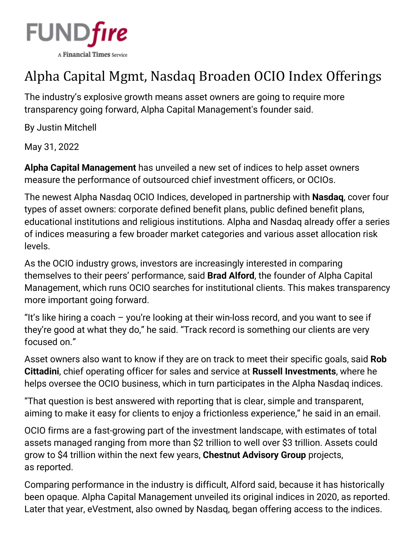

## Alpha Capital Mgmt, Nasdaq Broaden OCIO Index Offerings

The industry's explosive growth means asset owners are going to require more transparency going forward, Alpha Capital Management's founder said.

By [Justin Mitchell](https://www.fundfire.com/email-contributor/141974/3623314/465154?from=%2Fpc%2F3623314%2F465154%3Fall%3Dtrue)

May 31, 2022

**Alpha Capital Management** has unveiled a new set of indices to help asset owners measure the performance of outsourced chief investment officers, or OCIOs.

The newest Alpha Nasdaq OCIO Indices, developed in partnership with **Nasdaq**, cover four types of asset owners: corporate defined benefit plans, public defined benefit plans, educational institutions and religious institutions. Alpha and Nasdaq already offer a series of indices measuring a few broader market categories and various asset allocation risk levels.

As the OCIO industry grows, investors are increasingly interested in comparing themselves to their peers' performance, said **Brad Alford**, the founder of Alpha Capital Management, which runs OCIO searches for institutional clients. This makes transparency more important going forward.

"It's like hiring a coach – you're looking at their win-loss record, and you want to see if they're good at what they do," he said. "Track record is something our clients are very focused on."

Asset owners also want to know if they are on track to meet their specific goals, said **Rob Cittadini**, chief operating officer for sales and service at **Russell Investments**, where he helps oversee the OCIO business, which in turn participates in the Alpha Nasdaq indices.

"That question is best answered with reporting that is clear, simple and transparent, aiming to make it easy for clients to enjoy a frictionless experience," he said in an email.

OCIO firms are a fast-growing part of the investment landscape, with estimates of total assets managed ranging from more than \$2 trillion to well over \$3 trillion. Assets could grow to \$4 trillion within the next few years, **Chestnut Advisory Group** projects, as [reported.](https://www.fundfire.com/c/3407734/434344?referrer_module=article)

Comparing performance in the industry is difficult, Alford said, because it has historically been opaque. Alpha Capital Management unveiled its original indices in 2020, as [reported.](https://www.fundfire.com/c/2736663/334813?referrer_module=article) Later that year, eVestment, also owned by Nasdaq, began [offering access](https://www.fundfire.com/c/2966633/370803?referrer_module=article) to the indices.